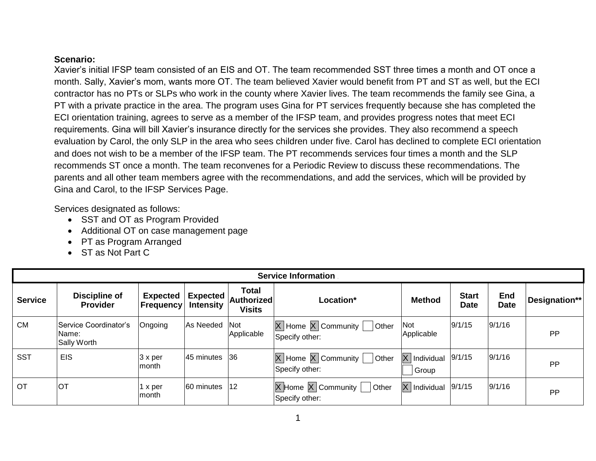#### **Scenario:**

Xavier's initial IFSP team consisted of an EIS and OT. The team recommended SST three times a month and OT once a month. Sally, Xavier's mom, wants more OT. The team believed Xavier would benefit from PT and ST as well, but the ECI contractor has no PTs or SLPs who work in the county where Xavier lives. The team recommends the family see Gina, a PT with a private practice in the area. The program uses Gina for PT services frequently because she has completed the ECI orientation training, agrees to serve as a member of the IFSP team, and provides progress notes that meet ECI requirements. Gina will bill Xavier's insurance directly for the services she provides. They also recommend a speech evaluation by Carol, the only SLP in the area who sees children under five. Carol has declined to complete ECI orientation and does not wish to be a member of the IFSP team. The PT recommends services four times a month and the SLP recommends ST once a month. The team reconvenes for a Periodic Review to discuss these recommendations. The parents and all other team members agree with the recommendations, and add the services, which will be provided by Gina and Carol, to the IFSP Services Page.

Services designated as follows:

- SST and OT as Program Provided
- Additional OT on case management page
- PT as Program Arranged
- ST as Not Part C

|                | <b>Service Information</b>                           |                                     |                                     |                                             |                                                                                                                 |                                    |                             |                           |               |
|----------------|------------------------------------------------------|-------------------------------------|-------------------------------------|---------------------------------------------|-----------------------------------------------------------------------------------------------------------------|------------------------------------|-----------------------------|---------------------------|---------------|
| <b>Service</b> | Discipline of<br><b>Provider</b>                     | <b>Expected</b><br><b>Frequency</b> | <b>Expected</b><br><b>Intensity</b> | <b>Total</b><br>Authorized<br><b>Visits</b> | <b>Location*</b>                                                                                                | <b>Method</b>                      | <b>Start</b><br><b>Date</b> | <b>End</b><br><b>Date</b> | Designation** |
| <b>CM</b>      | Service Coordinator's<br>Name:<br><b>Sally Worth</b> | Ongoing                             | As Needed                           | <b>Not</b><br>Applicable                    | $\boxed{\mathsf{X}}$ Home $\boxed{\mathsf{X}}$ Community $\boxed{\phantom{\mathsf{X}}}$ Other<br>Specify other: | <b>Not</b><br>Applicable           | 9/1/15                      | 9/1/16                    | <b>PP</b>     |
| <b>SST</b>     | <b>EIS</b>                                           | $ 3 \times$ per<br>lmonth.          | 45 minutes 36                       |                                             | $\boxed{\mathsf{X}}$ Home $\boxed{\mathsf{X}}$ Community $\boxed{\phantom{\mathsf{X}}}$ Other<br>Specify other: | $\overline{X}$ Individual<br>Group | 9/1/15                      | 9/1/16                    | <b>PP</b>     |
| <b>OT</b>      | <b>IOT</b>                                           | ∣x per<br>lmonth.                   | 60 minutes                          | 12                                          | $\overline{X}$ Home $\overline{X}$ Community $\overline{X}$<br><b>Other</b><br>Specify other:                   | $\overline{X}$ Individual          | 9/1/15                      | 9/1/16                    | <b>PP</b>     |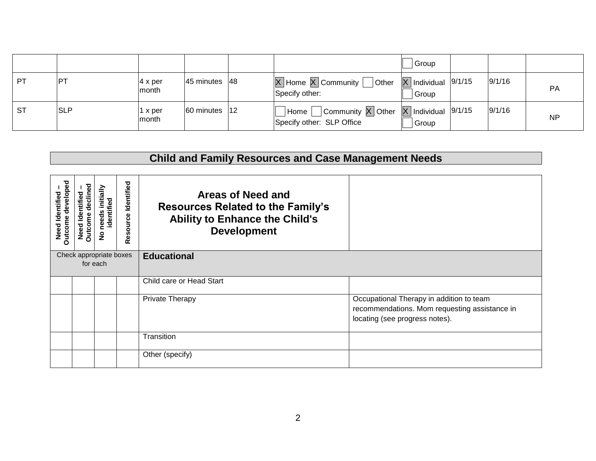|           |                  |                                  |                                   |                                                                                                        | Group                                     |        |           |
|-----------|------------------|----------------------------------|-----------------------------------|--------------------------------------------------------------------------------------------------------|-------------------------------------------|--------|-----------|
| PT        | $ P^{\intercal}$ | $ 4 \times per$<br><b>Imonth</b> | 45 minutes $ 48 $                 | $\boxed{\text{X}}$ Home $\boxed{\text{X}}$ Community $\boxed{\phantom{0}}$ Other<br>Specify other:     | $\overline{X}$ Individual 9/1/15<br>Group | 9/1/16 | <b>PA</b> |
| <b>ST</b> | <b>SLP</b>       | I x per<br>month                 | $ 60 \text{ minutes}  12 \rangle$ | Community $\overline{X}$ Other $\overline{X}$ Individual 9/1/15<br>Home  <br>Specify other: SLP Office | Group                                     | 9/1/16 | <b>NP</b> |

# **Child and Family Resources and Case Management Needs**

| Outcome developed<br>Need Identified | declined<br>ntified<br>Dutcome<br>ᅙ<br>Need | initially<br>identified<br>needs<br>$\frac{1}{2}$ | Identified<br>Resource | Areas of Need and<br><b>Resources Related to the Family's</b><br><b>Ability to Enhance the Child's</b><br><b>Development</b> |                                                                                                                             |
|--------------------------------------|---------------------------------------------|---------------------------------------------------|------------------------|------------------------------------------------------------------------------------------------------------------------------|-----------------------------------------------------------------------------------------------------------------------------|
|                                      |                                             | Check appropriate boxes<br>for each               |                        | <b>Educational</b>                                                                                                           |                                                                                                                             |
|                                      |                                             |                                                   |                        | Child care or Head Start                                                                                                     |                                                                                                                             |
|                                      |                                             |                                                   |                        | Private Therapy                                                                                                              | Occupational Therapy in addition to team<br>recommendations. Mom requesting assistance in<br>locating (see progress notes). |
|                                      |                                             |                                                   |                        | Transition                                                                                                                   |                                                                                                                             |
|                                      |                                             |                                                   |                        | Other (specify)                                                                                                              |                                                                                                                             |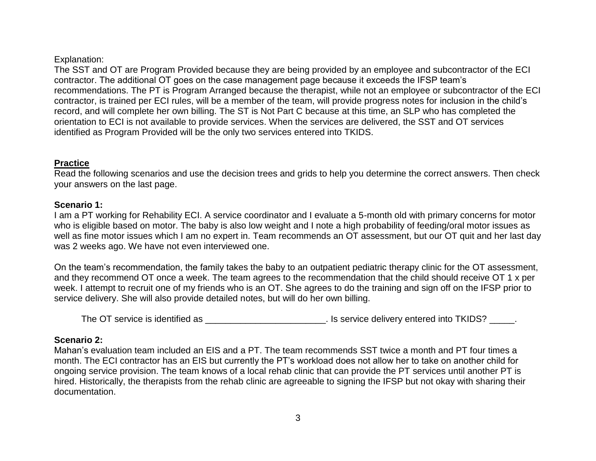#### Explanation:

The SST and OT are Program Provided because they are being provided by an employee and subcontractor of the ECI contractor. The additional OT goes on the case management page because it exceeds the IFSP team's recommendations. The PT is Program Arranged because the therapist, while not an employee or subcontractor of the ECI contractor, is trained per ECI rules, will be a member of the team, will provide progress notes for inclusion in the child's record, and will complete her own billing. The ST is Not Part C because at this time, an SLP who has completed the orientation to ECI is not available to provide services. When the services are delivered, the SST and OT services identified as Program Provided will be the only two services entered into TKIDS.

## **Practice**

Read the following scenarios and use the decision trees and grids to help you determine the correct answers. Then check your answers on the last page.

## **Scenario 1:**

I am a PT working for Rehability ECI. A service coordinator and I evaluate a 5-month old with primary concerns for motor who is eligible based on motor. The baby is also low weight and I note a high probability of feeding/oral motor issues as well as fine motor issues which I am no expert in. Team recommends an OT assessment, but our OT quit and her last day was 2 weeks ago. We have not even interviewed one.

On the team's recommendation, the family takes the baby to an outpatient pediatric therapy clinic for the OT assessment, and they recommend OT once a week. The team agrees to the recommendation that the child should receive OT 1 x per week. I attempt to recruit one of my friends who is an OT. She agrees to do the training and sign off on the IFSP prior to service delivery. She will also provide detailed notes, but will do her own billing.

The OT service is identified as  $\qquad \qquad$  . Is service delivery entered into TKIDS?  $\qquad \qquad$ .

## **Scenario 2:**

Mahan's evaluation team included an EIS and a PT. The team recommends SST twice a month and PT four times a month. The ECI contractor has an EIS but currently the PT's workload does not allow her to take on another child for ongoing service provision. The team knows of a local rehab clinic that can provide the PT services until another PT is hired. Historically, the therapists from the rehab clinic are agreeable to signing the IFSP but not okay with sharing their documentation.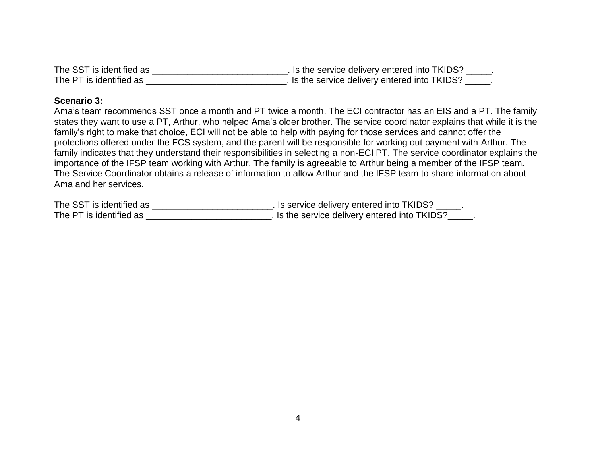| The SST is identified as | . Is the service delivery entered into TKIDS? |  |
|--------------------------|-----------------------------------------------|--|
| The PT is identified as  | . Is the service delivery entered into TKIDS? |  |

#### **Scenario 3:**

Ama's team recommends SST once a month and PT twice a month. The ECI contractor has an EIS and a PT. The family states they want to use a PT, Arthur, who helped Ama's older brother. The service coordinator explains that while it is the family's right to make that choice, ECI will not be able to help with paying for those services and cannot offer the protections offered under the FCS system, and the parent will be responsible for working out payment with Arthur. The family indicates that they understand their responsibilities in selecting a non-ECI PT. The service coordinator explains the importance of the IFSP team working with Arthur. The family is agreeable to Arthur being a member of the IFSP team. The Service Coordinator obtains a release of information to allow Arthur and the IFSP team to share information about Ama and her services.

| The SST is identified as | . Is service delivery entered into TKIDS?     |
|--------------------------|-----------------------------------------------|
| The PT is identified as  | . Is the service delivery entered into TKIDS? |